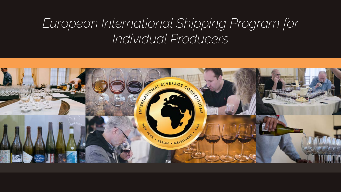# *European International Shipping Program for Individual Producers*

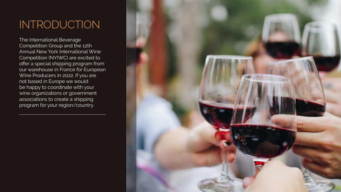## INTRODUCTION

The International Beverage Competition Group and the 12th Annual New York International Wine Competition (NYIWC) are excited to offer a special shipping program from our warehouse in France for European Wine Producers in 2022. If you are not based in Europe we would be happy to coordinate with your wine organizations or government associations to create a shipping program for your region/country.

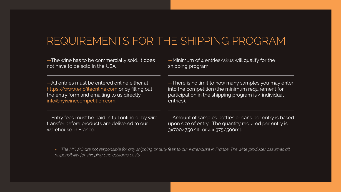## REQUIREMENTS FOR THE SHIPPING PROGRAM

—The wine has to be commercially sold. It does not have to be sold in the USA.

—All entries must be entered online either at <https://www.enofileonline.com> or by filling out the entry form and emailing to us directly [info@nyiwinecompetition.com.](mailto:info%40nyiwinecompetition.com?subject=)

—Entry fees must be paid in full online or by wire transfer before products are delivered to our warehouse in France.

» *The NYIWC are not responsible for any shipping or duty fees to our warehouse in France. The wine producer assumes all responsibility for shipping and customs costs.* 

—Minimum of 4 entries/skus will qualify for the shipping program.

—There is no limit to how many samples you may enter into the competition (the minimum requirement for participation in the shipping program is 4 individual entries).

—Amount of samples bottles or cans per entry is based upon size of entry: The quantity required per entry is 3x700/750/1L or 4 x 375/500ml.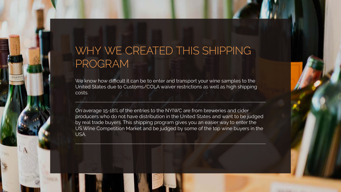We know how difficult it can be to enter and transport your wine samples to the United States due to Customs/COLA waiver restrictions as well as high shipping costs.

On average 15-18% of the entries to the NYIWC are from breweries and cider producers who do not have distribution in the United States and want to be judged by real trade buyers. This shipping program gives you an easier way to enter the US Wine Competition Market and be judged by some of the top wine buyers in the USA.



## WHY WE CREATED THIS SHIPPING PROGRAM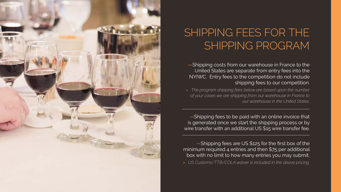

# SHIPPING FEES FOR THE SHIPPING PROGRAM

United States are separate from entry fees into the NYIWC. Entry fees to the competition do not include shipping fees to our competition.

- —Shipping costs from our warehouse in France to the
- » *The program shipping fees below are based upon the number*

*of your cases we are shipping from our warehouse in France to our warehouse in the United States.* 

—Shipping fees to be paid with an online invoice that is generated once we start the shipping process or by wire transfer with an additional US \$15 wire transfer fee.

—Shipping fees are US \$125 for the first box of the minimum required 4 entries and then \$75 per additional box with no limit to how many entries you may submit. » *US Customs/TTB/COLA waiver is included in the above pricing.*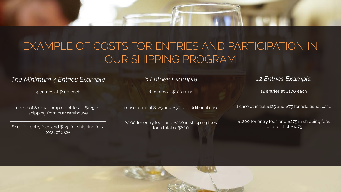#### *6 Entries Example*

6 entries at \$100 each

1 case at initial \$125 and \$50 for additional case

\$600 for entry fees and \$200 in shipping fees for a total of \$800

#### *12 Entries Example*

12 entries at \$100 each

1 case at initial \$125 and \$75 for additional case

\$1200 for entry fees and \$275 in shipping fees for a total of \$1475



#### *The Minimum 4 Entries Example*

4 entries at \$100 each

1 case of 8 or 12 sample bottles at \$125 for shipping from our warehouse

\$400 for entry fees and \$125 for shipping for a total of \$525



## EXAMPLE OF COSTS FOR ENTRIES AND PARTICIPATION IN OUR SHIPPING PROGRAM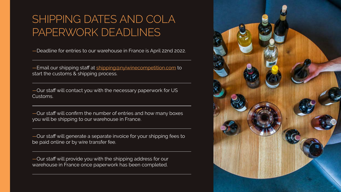# SHIPPING DATES AND COLA PAPERWORK DEADLINES

—Deadline for entries to our warehouse in France is April 22nd 2022.

-Email our shipping staff at [shipping@nyiwinecompetition.com](mailto:shipping%40nyiwinecompetition.com?subject=) to start the customs & shipping process.

—Our staff will contact you with the necessary paperwork for US Customs.

—Our staff will confirm the number of entries and how many boxes you will be shipping to our warehouse in France.

—Our staff will generate a separate invoice for your shipping fees to be paid online or by wire transfer fee.

—Our staff will provide you with the shipping address for our warehouse in France once paperwork has been completed.

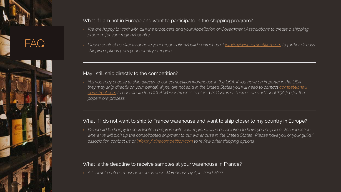#### FAQ



#### What if I am not in Europe and want to participate in the shipping program?

- » *We are happy to work with all wine producers and your Appellation or Government Associations to create a shipping program for your region/country.*
- » *Please contact us directly or have your organization/guild contact us at [info@nyiwinecompetition.com](mailto:info@nyiwinecompetition.com) to further discuss shipping options from your country or region.*

#### May I still ship directly to the competition?

» *Yes you may choose to ship directly to our competition warehouse in the USA. If you have an importer in the USA they may ship directly on your behalf. If you are not sold in the United States you will need to contact [competitions@](mailto:competitions@parkstreet.com) [parkstreet.com](mailto:competitions@parkstreet.com) to coordinate the COLA Waiver Process to clear US Customs There is an additional \$50 fee for the paperwork process.* 

#### What if I do not want to ship to France warehouse and want to ship closer to my country in Europe?

» *We would be happy to coordinate a program with your regional wine association to have you ship to a closer location*  where we will pick up the consolidated shipment to our warehouse in the United States. Please have you or your guild/ *association contact us at [info@nyiwinecompetition.com](mailto:info@nyiwinecompetition.com) to review other shipping options.* 

#### What is the deadline to receive samples at your warehouse in France?

» *All sample entries must be in our France Warehouse by April 22nd 2022.*